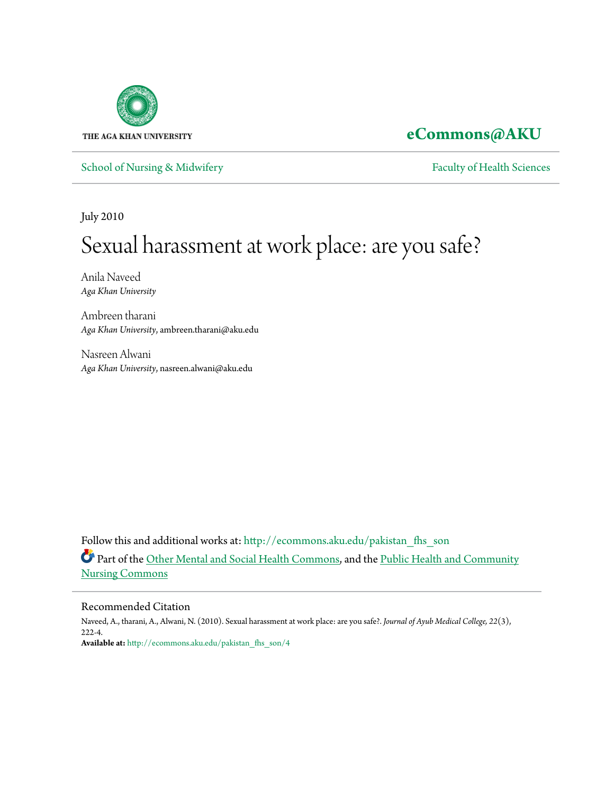

# **[eCommons@AKU](http://ecommons.aku.edu?utm_source=ecommons.aku.edu%2Fpakistan_fhs_son%2F4&utm_medium=PDF&utm_campaign=PDFCoverPages)**

[School of Nursing & Midwifery](http://ecommons.aku.edu/pakistan_fhs_son?utm_source=ecommons.aku.edu%2Fpakistan_fhs_son%2F4&utm_medium=PDF&utm_campaign=PDFCoverPages) [Faculty of Health Sciences](http://ecommons.aku.edu/pakistan_fhs?utm_source=ecommons.aku.edu%2Fpakistan_fhs_son%2F4&utm_medium=PDF&utm_campaign=PDFCoverPages)

July 2010

# Sexual harassment at work place: are you safe?

Anila Naveed *Aga Khan University*

Ambreen tharani *Aga Khan University*, ambreen.tharani@aku.edu

Nasreen Alwani *Aga Khan University*, nasreen.alwani@aku.edu

Follow this and additional works at: [http://ecommons.aku.edu/pakistan\\_fhs\\_son](http://ecommons.aku.edu/pakistan_fhs_son?utm_source=ecommons.aku.edu%2Fpakistan_fhs_son%2F4&utm_medium=PDF&utm_campaign=PDFCoverPages) Part of the [Other Mental and Social Health Commons,](http://network.bepress.com/hgg/discipline/717?utm_source=ecommons.aku.edu%2Fpakistan_fhs_son%2F4&utm_medium=PDF&utm_campaign=PDFCoverPages) and the [Public Health and Community](http://network.bepress.com/hgg/discipline/725?utm_source=ecommons.aku.edu%2Fpakistan_fhs_son%2F4&utm_medium=PDF&utm_campaign=PDFCoverPages) [Nursing Commons](http://network.bepress.com/hgg/discipline/725?utm_source=ecommons.aku.edu%2Fpakistan_fhs_son%2F4&utm_medium=PDF&utm_campaign=PDFCoverPages)

#### Recommended Citation

Naveed, A., tharani, A., Alwani, N. (2010). Sexual harassment at work place: are you safe?. *Journal of Ayub Medical College, 22*(3), 222-4. **Available at:** [http://ecommons.aku.edu/pakistan\\_fhs\\_son/4](http://ecommons.aku.edu/pakistan_fhs_son/4)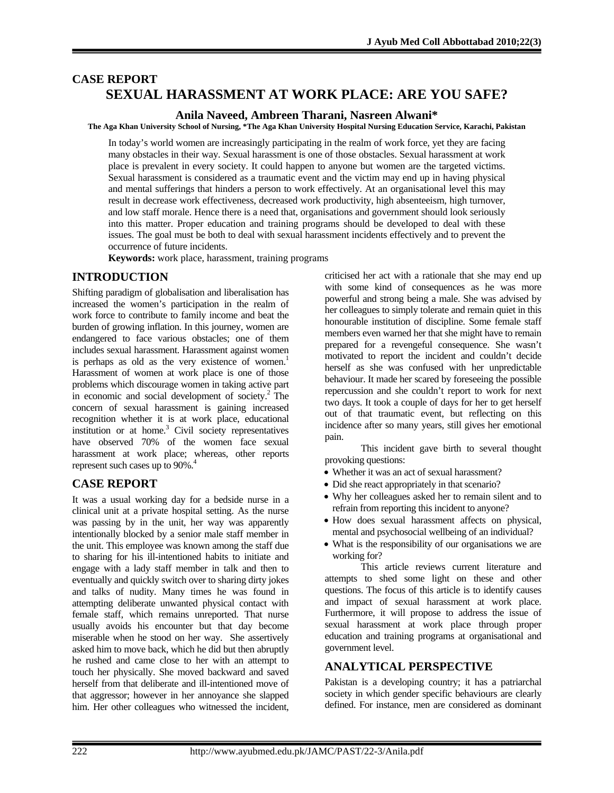# **CASE REPORT SEXUAL HARASSMENT AT WORK PLACE: ARE YOU SAFE?**

#### **Anila Naveed, Ambreen Tharani, Nasreen Alwani\***

**The Aga Khan University School of Nursing, \*The Aga Khan University Hospital Nursing Education Service, Karachi, Pakistan**

In today's world women are increasingly participating in the realm of work force, yet they are facing many obstacles in their way. Sexual harassment is one of those obstacles. Sexual harassment at work place is prevalent in every society. It could happen to anyone but women are the targeted victims. Sexual harassment is considered as a traumatic event and the victim may end up in having physical and mental sufferings that hinders a person to work effectively. At an organisational level this may result in decrease work effectiveness, decreased work productivity, high absenteeism, high turnover, and low staff morale. Hence there is a need that, organisations and government should look seriously into this matter. Proper education and training programs should be developed to deal with these issues. The goal must be both to deal with sexual harassment incidents effectively and to prevent the occurrence of future incidents.

**Keywords:** work place, harassment, training programs

#### **INTRODUCTION**

Shifting paradigm of globalisation and liberalisation has increased the women's participation in the realm of work force to contribute to family income and beat the burden of growing inflation. In this journey, women are endangered to face various obstacles; one of them includes sexual harassment. Harassment against women is perhaps as old as the very existence of women. $<sup>1</sup>$ </sup> Harassment of women at work place is one of those problems which discourage women in taking active part in economic and social development of society. $^2$  The concern of sexual harassment is gaining increased recognition whether it is at work place, educational institution or at home.<sup>3</sup> Civil society representatives have observed 70% of the women face sexual harassment at work place; whereas, other reports represent such cases up to 90%.<sup>4</sup>

#### **CASE REPORT**

It was a usual working day for a bedside nurse in a clinical unit at a private hospital setting. As the nurse was passing by in the unit, her way was apparently intentionally blocked by a senior male staff member in the unit. This employee was known among the staff due to sharing for his ill-intentioned habits to initiate and engage with a lady staff member in talk and then to eventually and quickly switch over to sharing dirty jokes and talks of nudity. Many times he was found in attempting deliberate unwanted physical contact with female staff, which remains unreported. That nurse usually avoids his encounter but that day become miserable when he stood on her way. She assertively asked him to move back, which he did but then abruptly he rushed and came close to her with an attempt to touch her physically. She moved backward and saved herself from that deliberate and ill-intentioned move of that aggressor; however in her annoyance she slapped him. Her other colleagues who witnessed the incident,

criticised her act with a rationale that she may end up with some kind of consequences as he was more powerful and strong being a male. She was advised by her colleagues to simply tolerate and remain quiet in this honourable institution of discipline. Some female staff members even warned her that she might have to remain prepared for a revengeful consequence. She wasn't motivated to report the incident and couldn't decide herself as she was confused with her unpredictable behaviour. It made her scared by foreseeing the possible repercussion and she couldn't report to work for next two days. It took a couple of days for her to get herself out of that traumatic event, but reflecting on this incidence after so many years, still gives her emotional pain.

This incident gave birth to several thought provoking questions:

- Whether it was an act of sexual harassment?
- Did she react appropriately in that scenario?
- Why her colleagues asked her to remain silent and to refrain from reporting this incident to anyone?
- How does sexual harassment affects on physical, mental and psychosocial wellbeing of an individual?
- What is the responsibility of our organisations we are working for?

This article reviews current literature and attempts to shed some light on these and other questions. The focus of this article is to identify causes and impact of sexual harassment at work place. Furthermore, it will propose to address the issue of sexual harassment at work place through proper education and training programs at organisational and government level.

#### **ANALYTICAL PERSPECTIVE**

Pakistan is a developing country; it has a patriarchal society in which gender specific behaviours are clearly defined. For instance, men are considered as dominant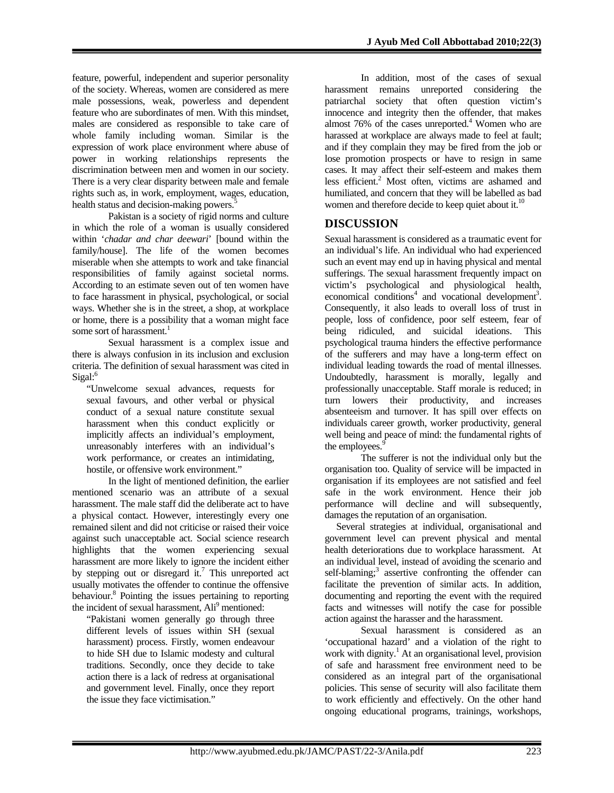feature, powerful, independent and superior personality of the society. Whereas, women are considered as mere male possessions, weak, powerless and dependent feature who are subordinates of men. With this mindset, males are considered as responsible to take care of whole family including woman. Similar is the expression of work place environment where abuse of power in working relationships represents the discrimination between men and women in our society. There is a very clear disparity between male and female rights such as, in work, employment, wages, education, health status and decision-making powers.<sup>5</sup>

Pakistan is a society of rigid norms and culture in which the role of a woman is usually considered within '*chadar and char deewari*' [bound within the family/house]. The life of the women becomes miserable when she attempts to work and take financial responsibilities of family against societal norms. According to an estimate seven out of ten women have to face harassment in physical, psychological, or social ways. Whether she is in the street, a shop, at workplace or home, there is a possibility that a woman might face some sort of harassment.<sup>1</sup>

Sexual harassment is a complex issue and there is always confusion in its inclusion and exclusion criteria. The definition of sexual harassment was cited in Sigal:<sup>6</sup>

"Unwelcome sexual advances, requests for sexual favours, and other verbal or physical conduct of a sexual nature constitute sexual harassment when this conduct explicitly or implicitly affects an individual's employment, unreasonably interferes with an individual's work performance, or creates an intimidating, hostile, or offensive work environment."

In the light of mentioned definition, the earlier mentioned scenario was an attribute of a sexual harassment. The male staff did the deliberate act to have a physical contact. However, interestingly every one remained silent and did not criticise or raised their voice against such unacceptable act. Social science research highlights that the women experiencing sexual harassment are more likely to ignore the incident either by stepping out or disregard it.<sup>7</sup> This unreported act usually motivates the offender to continue the offensive behaviour.<sup>8</sup> Pointing the issues pertaining to reporting the incident of sexual harassment, Ali<sup>9</sup> mentioned:

"Pakistani women generally go through three different levels of issues within SH (sexual harassment) process. Firstly, women endeavour to hide SH due to Islamic modesty and cultural traditions. Secondly, once they decide to take action there is a lack of redress at organisational and government level. Finally, once they report the issue they face victimisation."

In addition, most of the cases of sexual harassment remains unreported considering the patriarchal society that often question victim's innocence and integrity then the offender, that makes almost  $76\%$  of the cases unreported.<sup>4</sup> Women who are harassed at workplace are always made to feel at fault; and if they complain they may be fired from the job or lose promotion prospects or have to resign in same cases. It may affect their self-esteem and makes them less efficient.<sup>2</sup> Most often, victims are ashamed and humiliated, and concern that they will be labelled as bad women and therefore decide to keep quiet about it. $^{10}$ 

### **DISCUSSION**

Sexual harassment is considered as a traumatic event for an individual's life. An individual who had experienced such an event may end up in having physical and mental sufferings. The sexual harassment frequently impact on victim's psychological and physiological health, economical conditions<sup>4</sup> and vocational development<sup>3</sup>. Consequently, it also leads to overall loss of trust in people, loss of confidence, poor self esteem, fear of being ridiculed, and suicidal ideations. This psychological trauma hinders the effective performance of the sufferers and may have a long-term effect on individual leading towards the road of mental illnesses. Undoubtedly, harassment is morally, legally and professionally unacceptable. Staff morale is reduced; in turn lowers their productivity, and increases absenteeism and turnover. It has spill over effects on individuals career growth, worker productivity, general well being and peace of mind: the fundamental rights of the employees.<sup>9</sup>

The sufferer is not the individual only but the organisation too. Quality of service will be impacted in organisation if its employees are not satisfied and feel safe in the work environment. Hence their job performance will decline and will subsequently, damages the reputation of an organisation.

 Several strategies at individual, organisational and government level can prevent physical and mental health deteriorations due to workplace harassment. At an individual level, instead of avoiding the scenario and self-blaming;<sup>3</sup> assertive confronting the offender can facilitate the prevention of similar acts. In addition, documenting and reporting the event with the required facts and witnesses will notify the case for possible action against the harasser and the harassment.

Sexual harassment is considered as an 'occupational hazard' and a violation of the right to work with dignity.<sup>1</sup> At an organisational level, provision of safe and harassment free environment need to be considered as an integral part of the organisational policies. This sense of security will also facilitate them to work efficiently and effectively. On the other hand ongoing educational programs, trainings, workshops,